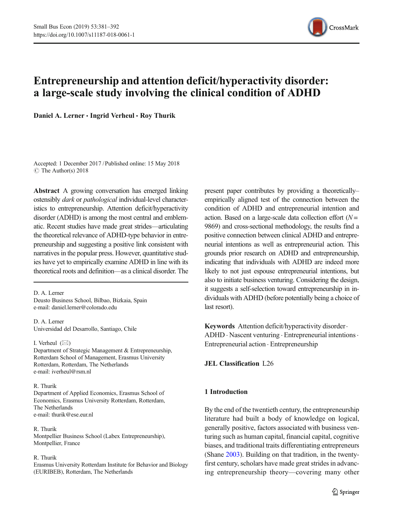

# Entrepreneurship and attention deficit/hyperactivity disorder: a large-scale study involving the clinical condition of ADHD

Daniel A. Lerner · Ingrid Verheul · Roy Thurik

Accepted: 1 December 2017 /Published online: 15 May 2018  $\circ$  The Author(s) 2018

Abstract A growing conversation has emerged linking ostensibly *dark* or *pathological* individual-level characteristics to entrepreneurship. Attention deficit/hyperactivity disorder (ADHD) is among the most central and emblematic. Recent studies have made great strides—articulating the theoretical relevance of ADHD-type behavior in entrepreneurship and suggesting a positive link consistent with narratives in the popular press. However, quantitative studies have yet to empirically examine ADHD in line with its theoretical roots and definition—as a clinical disorder. The

D. A. Lerner Deusto Business School, Bilbao, Bizkaia, Spain e-mail: daniel.lerner@colorado.edu

D. A. Lerner Universidad del Desarrollo, Santiago, Chile

I. Verheul  $(\boxtimes)$ Department of Strategic Management & Entrepreneurship, Rotterdam School of Management, Erasmus University Rotterdam, Rotterdam, The Netherlands e-mail: iverheul@rsm.nl

#### R. Thurik

Department of Applied Economics, Erasmus School of Economics, Erasmus University Rotterdam, Rotterdam, The Netherlands e-mail: thurik@ese.eur.nl

### R. Thurik

Montpellier Business School (Labex Entrepreneurship), Montpellier, France

#### R. Thurik

Erasmus University Rotterdam Institute for Behavior and Biology (EURIBEB), Rotterdam, The Netherlands

present paper contributes by providing a theoretically– empirically aligned test of the connection between the condition of ADHD and entrepreneurial intention and action. Based on a large-scale data collection effort  $(N =$ 9869) and cross-sectional methodology, the results find a positive connection between clinical ADHD and entrepreneurial intentions as well as entrepreneurial action. This grounds prior research on ADHD and entrepreneurship, indicating that individuals with ADHD are indeed more likely to not just espouse entrepreneurial intentions, but also to initiate business venturing. Considering the design, it suggests a self-selection toward entrepreneurship in individuals with ADHD (before potentially being a choice of last resort).

Keywords Attention deficit/hyperactivity disorder. ADHD . Nascent venturing . Entrepreneurial intentions. Entrepreneurial action . Entrepreneurship

## JEL Classification L26

# 1 Introduction

By the end of the twentieth century, the entrepreneurship literature had built a body of knowledge on logical, generally positive, factors associated with business venturing such as human capital, financial capital, cognitive biases, and traditional traits differentiating entrepreneurs (Shane [2003](#page-10-0)). Building on that tradition, in the twentyfirst century, scholars have made great strides in advancing entrepreneurship theory—covering many other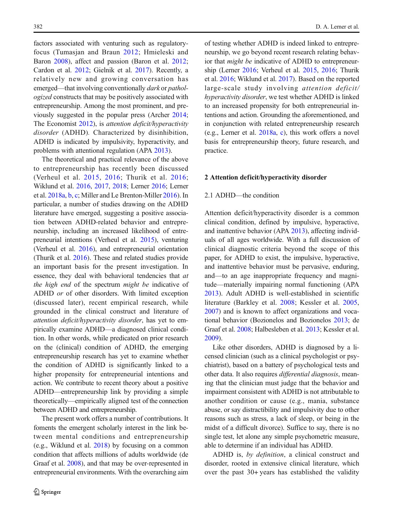factors associated with venturing such as regulatoryfocus (Tumasjan and Braun [2012;](#page-10-0) Hmieleski and Baron [2008\)](#page-10-0), affect and passion (Baron et al. [2012](#page-9-0); Cardon et al. [2012;](#page-9-0) Gielnik et al. [2017\)](#page-10-0). Recently, a relatively new and growing conversation has emerged—that involving conventionally *dark* or *pathol*ogized constructs that may be positively associated with entrepreneurship. Among the most prominent, and previously suggested in the popular press (Archer [2014](#page-9-0); The Economist [2012](#page-10-0)), is attention deficit/hyperactivity disorder (ADHD). Characterized by disinhibition, ADHD is indicated by impulsivity, hyperactivity, and problems with attentional regulation (APA [2013](#page-9-0)).

The theoretical and practical relevance of the above to entrepreneurship has recently been discussed (Verheul et al. [2015,](#page-10-0) [2016;](#page-10-0) Thurik et al. [2016](#page-10-0); Wiklund et al. [2016,](#page-10-0) [2017](#page-11-0), [2018](#page-11-0); Lerner [2016;](#page-10-0) Lerner et al. [2018a,](#page-10-0) [b,](#page-10-0) [c](#page-10-0); Miller and Le Brenton-Miller [2016\)](#page-10-0). In particular, a number of studies drawing on the ADHD literature have emerged, suggesting a positive association between ADHD-related behavior and entrepreneurship, including an increased likelihood of entrepreneurial intentions (Verheul et al. [2015](#page-10-0)), venturing (Verheul et al. [2016](#page-10-0)), and entrepreneurial orientation (Thurik et al. [2016](#page-10-0)). These and related studies provide an important basis for the present investigation. In essence, they deal with behavioral tendencies that at the high end of the spectrum might be indicative of ADHD or of other disorders. With limited exception (discussed later), recent empirical research, while grounded in the clinical construct and literature of attention deficit/hyperactivity disorder, has yet to empirically examine ADHD—a diagnosed clinical condition. In other words, while predicated on prior research on the (clinical) condition of ADHD, the emerging entrepreneurship research has yet to examine whether the condition of ADHD is significantly linked to a higher propensity for entrepreneurial intentions and action. We contribute to recent theory about a positive ADHD—entrepreneurship link by providing a simple theoretically—empirically aligned test of the connection between ADHD and entrepreneurship.

The present work offers a number of contributions. It foments the emergent scholarly interest in the link between mental conditions and entrepreneurship (e.g., Wiklund et al. [2018\)](#page-11-0) by focusing on a common condition that affects millions of adults worldwide (de Graaf et al. [2008\)](#page-9-0), and that may be over-represented in entrepreneurial environments. With the overarching aim of testing whether ADHD is indeed linked to entrepreneurship, we go beyond recent research relating behavior that might be indicative of ADHD to entrepreneurship (Lerner [2016](#page-10-0); Verheul et al. [2015](#page-10-0), [2016](#page-10-0); Thurik et al. [2016;](#page-10-0) Wiklund et al. [2017](#page-11-0)). Based on the reported large-scale study involving attention deficit/ hyperactivity disorder, we test whether ADHD is linked to an increased propensity for both entrepreneurial intentions and action. Grounding the aforementioned, and in conjunction with related entrepreneurship research (e.g., Lerner et al. [2018a](#page-10-0), [c\)](#page-10-0), this work offers a novel basis for entrepreneurship theory, future research, and practice.

#### 2 Attention deficit/hyperactivity disorder

## 2.1 ADHD—the condition

Attention deficit/hyperactivity disorder is a common clinical condition, defined by impulsive, hyperactive, and inattentive behavior (APA [2013](#page-9-0)), affecting individuals of all ages worldwide. With a full discussion of clinical diagnostic criteria beyond the scope of this paper, for ADHD to exist, the impulsive, hyperactive, and inattentive behavior must be pervasive, enduring, and—to an age inappropriate frequency and magnitude—materially impairing normal functioning (APA [2013\)](#page-9-0). Adult ADHD is well-established in scientific literature (Barkley et al. [2008;](#page-9-0) Kessler et al. [2005,](#page-10-0) [2007](#page-10-0)) and is known to affect organizations and vocational behavior (Bozionelos and Bozionelos [2013](#page-9-0); de Graaf et al. [2008;](#page-9-0) Halbesleben et al. [2013](#page-10-0); Kessler et al. [2009](#page-10-0)).

Like other disorders, ADHD is diagnosed by a licensed clinician (such as a clinical psychologist or psychiatrist), based on a battery of psychological tests and other data. It also requires differential diagnosis, meaning that the clinician must judge that the behavior and impairment consistent with ADHD is not attributable to another condition or cause (e.g., mania, substance abuse, or say distractibility and impulsivity due to other reasons such as stress, a lack of sleep, or being in the midst of a difficult divorce). Suffice to say, there is no single test, let alone any simple psychometric measure, able to determine if an individual has ADHD.

ADHD is, by definition, a clinical construct and disorder, rooted in extensive clinical literature, which over the past 30+ years has established the validity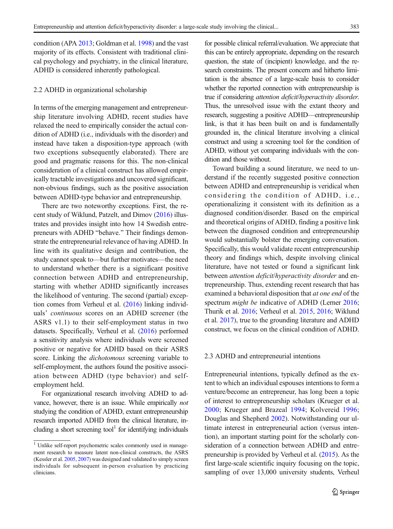condition (APA [2013;](#page-9-0) Goldman et al. [1998\)](#page-10-0) and the vast majority of its effects. Consistent with traditional clinical psychology and psychiatry, in the clinical literature, ADHD is considered inherently pathological.

### 2.2 ADHD in organizational scholarship

In terms of the emerging management and entrepreneurship literature involving ADHD, recent studies have relaxed the need to empirically consider the actual condition of ADHD (i.e., individuals with the disorder) and instead have taken a disposition-type approach (with two exceptions subsequently elaborated). There are good and pragmatic reasons for this. The non-clinical consideration of a clinical construct has allowed empirically tractable investigations and uncovered significant, non-obvious findings, such as the positive association between ADHD-type behavior and entrepreneurship.

There are two noteworthy exceptions. First, the recent study of Wiklund, Patzelt, and Dimov [\(2016](#page-10-0)) illustrates and provides insight into how 14 Swedish entrepreneurs with ADHD "behave." Their findings demonstrate the entrepreneurial relevance of having ADHD. In line with its qualitative design and contribution, the study cannot speak to—but further motivates—the need to understand whether there is a significant positive connection between ADHD and entrepreneurship, starting with whether ADHD significantly increases the likelihood of venturing. The second (partial) exception comes from Verheul et al. ([2016](#page-10-0)) linking individuals' continuous scores on an ADHD screener (the ASRS v1.1) to their self-employment status in two datasets. Specifically, Verheul et al. [\(2016](#page-10-0)) performed a sensitivity analysis where individuals were screened positive or negative for ADHD based on their ASRS score. Linking the *dichotomous* screening variable to self-employment, the authors found the positive association between ADHD (type behavior) and selfemployment held.

For organizational research involving ADHD to advance, however, there is an issue. While empirically not studying the condition of ADHD, extant entrepreneurship research imported ADHD from the clinical literature, including a short screening tool<sup>1</sup> for identifying individuals for possible clinical referral/evaluation. We appreciate that this can be entirely appropriate, depending on the research question, the state of (incipient) knowledge, and the research constraints. The present concern and hitherto limitation is the absence of a large-scale basis to consider whether the reported connection with entrepreneurship is true if considering attention deficit/hyperactivity disorder. Thus, the unresolved issue with the extant theory and research, suggesting a positive ADHD—entrepreneurship link, is that it has been built on and is fundamentally grounded in, the clinical literature involving a clinical construct and using a screening tool for the condition of ADHD, without yet comparing individuals with the condition and those without.

Toward building a sound literature, we need to understand if the recently suggested positive connection between ADHD and entrepreneurship is veridical when considering the condition of ADHD, i.e., operationalizing it consistent with its definition as a diagnosed condition/disorder. Based on the empirical and theoretical origins of ADHD, finding a positive link between the diagnosed condition and entrepreneurship would substantially bolster the emerging conversation. Specifically, this would validate recent entrepreneurship theory and findings which, despite involving clinical literature, have not tested or found a significant link between attention deficit/hyperactivity disorder and entrepreneurship. Thus, extending recent research that has examined a behavioral disposition that at one end of the spectrum *might be* indicative of ADHD (Lerner [2016;](#page-10-0) Thurik et al. [2016;](#page-10-0) Verheul et al. [2015,](#page-10-0) [2016;](#page-10-0) Wiklund et al. [2017\)](#page-11-0), true to the grounding literature and ADHD construct, we focus on the clinical condition of ADHD.

# 2.3 ADHD and entrepreneurial intentions

Entrepreneurial intentions, typically defined as the extent to which an individual espouses intentions to form a venture/become an entrepreneur, has long been a topic of interest to entrepreneurship scholars (Krueger et al. [2000](#page-10-0); Krueger and Brazeal [1994;](#page-10-0) Kolvereid [1996;](#page-10-0) Douglas and Shepherd [2002](#page-9-0)). Notwithstanding our ultimate interest in entrepreneurial action (versus intention), an important starting point for the scholarly consideration of a connection between ADHD and entrepreneurship is provided by Verheul et al. ([2015](#page-10-0)). As the first large-scale scientific inquiry focusing on the topic, sampling of over 13,000 university students, Verheul

 $\overline{1}$  Unlike self-report psychometric scales commonly used in management research to measure latent non-clinical constructs, the ASRS (Kessler et al. [2005](#page-10-0), [2007](#page-10-0)) was designed and validated to simply screen individuals for subsequent in-person evaluation by practicing clinicians.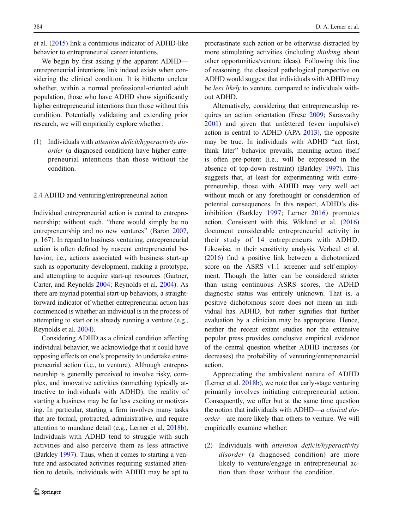et al. [\(2015\)](#page-10-0) link a continuous indicator of ADHD-like behavior to entrepreneurial career intentions.

We begin by first asking if the apparent ADHD entrepreneurial intentions link indeed exists when considering the clinical condition. It is hitherto unclear whether, within a normal professional-oriented adult population, those who have ADHD show significantly higher entrepreneurial intentions than those without this condition. Potentially validating and extending prior research, we will empirically explore whether:

(1) Individuals with attention deficit/hyperactivity disorder (a diagnosed condition) have higher entrepreneurial intentions than those without the condition.

# 2.4 ADHD and venturing/entrepreneurial action

Individual entrepreneurial action is central to entrepreneurship; without such, "there would simply be no entrepreneurship and no new ventures" (Baron [2007,](#page-9-0) p. 167). In regard to business venturing, entrepreneurial action is often defined by nascent entrepreneurial behavior, i.e., actions associated with business start-up such as opportunity development, making a prototype, and attempting to acquire start-up resources (Gartner, Carter, and Reynolds [2004](#page-10-0); Reynolds et al. [2004](#page-10-0)). As there are myriad potential start-up behaviors, a straightforward indicator of whether entrepreneurial action has commenced is whether an individual is in the process of attempting to start or is already running a venture (e.g., Reynolds et al. [2004](#page-10-0)).

Considering ADHD as a clinical condition affecting individual behavior, we acknowledge that it could have opposing effects on one's propensity to undertake entrepreneurial action (i.e., to venture). Although entrepreneurship is generally perceived to involve risky, complex, and innovative activities (something typically attractive to individuals with ADHD), the reality of starting a business may be far less exciting or motivating. In particular, starting a firm involves many tasks that are formal, protracted, administrative, and require attention to mundane detail (e.g., Lerner et al. [2018b\)](#page-10-0). Individuals with ADHD tend to struggle with such activities and also perceive them as less attractive (Barkley [1997\)](#page-9-0). Thus, when it comes to starting a venture and associated activities requiring sustained attention to details, individuals with ADHD may be apt to

procrastinate such action or be otherwise distracted by more stimulating activities (including thinking about other opportunities/venture ideas). Following this line of reasoning, the classical pathological perspective on ADHD would suggest that individuals with ADHD may be less likely to venture, compared to individuals without ADHD.

Alternatively, considering that entrepreneurship requires an action orientation (Frese [2009](#page-9-0); Sarasvathy [2001\)](#page-10-0) and given that unfettered (even impulsive) action is central to ADHD (APA [2013](#page-9-0)), the opposite may be true. In individuals with ADHD "act first, think later^ behavior prevails, meaning action itself is often pre-potent (i.e., will be expressed in the absence of top-down restraint) (Barkley [1997\)](#page-9-0). This suggests that, at least for experimenting with entrepreneurship, those with ADHD may very well act without much or any forethought or consideration of potential consequences. In this respect, ADHD's disinhibition (Barkley [1997;](#page-9-0) Lerner [2016\)](#page-10-0) promotes action. Consistent with this, Wiklund et al. ([2016](#page-10-0)) document considerable entrepreneurial activity in their study of 14 entrepreneurs with ADHD. Likewise, in their sensitivity analysis, Verheul et al. [\(2016\)](#page-10-0) find a positive link between a dichotomized score on the ASRS v1.1 screener and self-employment. Though the latter can be considered stricter than using continuous ASRS scores, the ADHD diagnostic status was entirely unknown. That is, a positive dichotomous score does not mean an individual has ADHD, but rather signifies that further evaluation by a clinician may be appropriate. Hence, neither the recent extant studies nor the extensive popular press provides conclusive empirical evidence of the central question whether ADHD increases (or decreases) the probability of venturing/entrepreneurial action.

Appreciating the ambivalent nature of ADHD (Lerner et al. [2018b](#page-10-0)), we note that early-stage venturing primarily involves initiating entrepreneurial action. Consequently, we offer but at the same time question the notion that individuals with ADHD—a clinical disorder—are more likely than others to venture. We will empirically examine whether:

(2) Individuals with attention deficit/hyperactivity disorder (a diagnosed condition) are more likely to venture/engage in entrepreneurial action than those without the condition.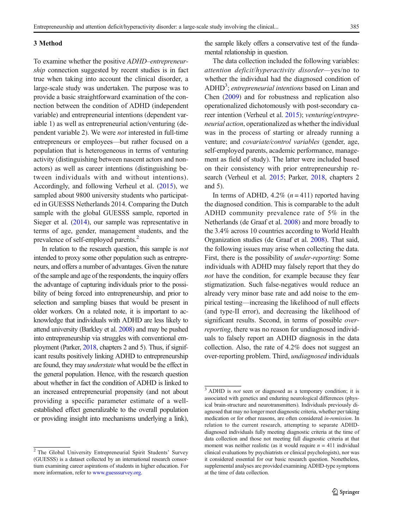#### 3 Method

To examine whether the positive ADHD–entrepreneurship connection suggested by recent studies is in fact true when taking into account the clinical disorder, a large-scale study was undertaken. The purpose was to provide a basic straightforward examination of the connection between the condition of ADHD (independent variable) and entrepreneurial intentions (dependent variable 1) as well as entrepreneurial action/venturing (dependent variable 2). We were not interested in full-time entrepreneurs or employees—but rather focused on a population that is heterogeneous in terms of venturing activity (distinguishing between nascent actors and nonactors) as well as career intentions (distinguishing between individuals with and without intentions). Accordingly, and following Verheul et al. ([2015](#page-10-0)), we sampled about 9800 university students who participated in GUESSS Netherlands 2014. Comparing the Dutch sample with the global GUESSS sample, reported in Sieger et al. ([2014](#page-10-0)), our sample was representative in terms of age, gender, management students, and the prevalence of self-employed parents.<sup>2</sup>

In relation to the research question, this sample is not intended to proxy some other population such as entrepreneurs, and offers a number of advantages. Given the nature of the sample and age of the respondents, the inquiry offers the advantage of capturing individuals prior to the possibility of being forced into entrepreneurship, and prior to selection and sampling biases that would be present in older workers. On a related note, it is important to acknowledge that individuals with ADHD are less likely to attend university (Barkley et al. [2008](#page-9-0)) and may be pushed into entrepreneurship via struggles with conventional employment (Parker, [2018](#page-10-0), chapters 2 and 5). Thus, if significant results positively linking ADHD to entrepreneurship are found, they may understate what would be the effect in the general population. Hence, with the research question about whether in fact the condition of ADHD is linked to an increased entrepreneurial propensity (and not about providing a specific parameter estimate of a wellestablished effect generalizable to the overall population or providing insight into mechanisms underlying a link), the sample likely offers a conservative test of the fundamental relationship in question.

The data collection included the following variables: attention deficit/hyperactivity disorder—yes/no to whether the individual had the diagnosed condition of ADHD<sup>3</sup>; entrepreneurial intentions based on Linan and Chen [\(2009\)](#page-10-0) and for robustness and replication also operationalized dichotomously with post-secondary career intention (Verheul et al. [2015\)](#page-10-0); venturing/entrepreneurial action, operationalized as whether the individual was in the process of starting or already running a venture; and covariate/control variables (gender, age, self-employed parents, academic performance, management as field of study). The latter were included based on their consistency with prior entrepreneurship research (Verheul et al. [2015;](#page-10-0) Parker, [2018,](#page-10-0) chapters 2 and 5).

In terms of ADHD, 4.2%  $(n = 411)$  reported having the diagnosed condition. This is comparable to the adult ADHD community prevalence rate of 5% in the Netherlands (de Graaf et al. [2008](#page-9-0)) and more broadly to the 3.4% across 10 countries according to World Health Organization studies (de Graaf et al. [2008](#page-9-0)). That said, the following issues may arise when collecting the data. First, there is the possibility of under-reporting: Some individuals with ADHD may falsely report that they do not have the condition, for example because they fear stigmatization. Such false-negatives would reduce an already very minor base rate and add noise to the empirical testing—increasing the likelihood of null effects (and type-II error), and decreasing the likelihood of significant results. Second, in terms of possible *over*reporting, there was no reason for undiagnosed individuals to falsely report an ADHD diagnosis in the data collection. Also, the rate of 4.2% does not suggest an over-reporting problem. Third, undiagnosed individuals

<sup>2</sup> The Global University Entrepreneurial Spirit Students' Survey (GUESSS) is a dataset collected by an international research consortium examining career aspirations of students in higher education. For more information, refer to [www.guesssurvey.org](http://www.guesssurvey.org).

 $3$  ADHD is *not* seen or diagnosed as a temporary condition; it is associated with genetics and enduring neurological differences (physical brain-structure and neurotransmitters). Individuals previously diagnosed that may no longer meet diagnostic criteria, whether per taking medication or for other reasons, are often considered in-remission. In relation to the current research, attempting to separate ADHDdiagnosed individuals fully meeting diagnostic criteria at the time of data collection and those not meeting full diagnostic criteria at that moment was neither realistic (as it would require  $n = 411$  individual clinical evaluations by psychiatrists or clinical psychologists), nor was it considered essential for our basic research question. Nonetheless, supplemental analyses are provided examining ADHD-type symptoms at the time of data collection.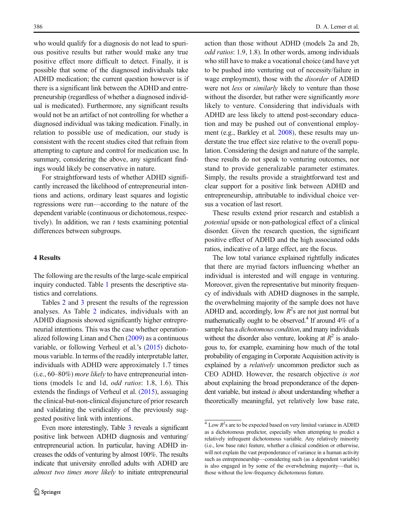who would qualify for a diagnosis do not lead to spurious positive results but rather would make any true positive effect more difficult to detect. Finally, it is possible that some of the diagnosed individuals take ADHD medication; the current question however is if there is a significant link between the ADHD and entrepreneurship (regardless of whether a diagnosed individual is medicated). Furthermore, any significant results would not be an artifact of not controlling for whether a diagnosed individual was taking medication. Finally, in relation to possible use of medication, our study is consistent with the recent studies cited that refrain from attempting to capture and control for medication use. In summary, considering the above, any significant findings would likely be conservative in nature.

For straightforward tests of whether ADHD significantly increased the likelihood of entrepreneurial intentions and actions, ordinary least squares and logistic regressions were run—according to the nature of the dependent variable (continuous or dichotomous, respectively). In addition, we ran  $t$  tests examining potential differences between subgroups.

# 4 Results

The following are the results of the large-scale empirical inquiry conducted. Table [1](#page-6-0) presents the descriptive statistics and correlations.

Tables [2](#page-6-0) and [3](#page-7-0) present the results of the regression analyses. As Table [2](#page-6-0) indicates, individuals with an ADHD diagnosis showed significantly higher entrepreneurial intentions. This was the case whether operationalized following Linan and Chen [\(2009\)](#page-10-0) as a continuous variable, or following Verheul et al.'s ([2015](#page-10-0)) dichotomous variable. In terms of the readily interpretable latter, individuals with ADHD were approximately 1.7 times (i.e., 60–80%) more likely to have entrepreneurial intentions (models 1c and 1d, odd ratios: 1.8, 1.6). This extends the findings of Verheul et al. [\(2015\)](#page-10-0), assuaging the clinical-but-non-clinical disjuncture of prior research and validating the veridicality of the previously suggested positive link with intentions.

Even more interestingly, Table [3](#page-7-0) reveals a significant positive link between ADHD diagnosis and venturing/ entrepreneurial action. In particular, having ADHD increases the odds of venturing by almost 100%. The results indicate that university enrolled adults with ADHD are almost two times more likely to initiate entrepreneurial action than those without ADHD (models 2a and 2b, odd ratios: 1.9, 1.8). In other words, among individuals who still have to make a vocational choice (and have yet to be pushed into venturing out of necessity/failure in wage employment), those with the disorder of ADHD were not *less* or *similarly* likely to venture than those without the disorder, but rather were significantly *more* likely to venture. Considering that individuals with ADHD are less likely to attend post-secondary education and may be pushed out of conventional employment (e.g., Barkley et al. [2008\)](#page-9-0), these results may understate the true effect size relative to the overall population. Considering the design and nature of the sample, these results do not speak to venturing outcomes, nor stand to provide generalizable parameter estimates. Simply, the results provide a straightforward test and clear support for a positive link between ADHD and entrepreneurship, attributable to individual choice versus a vocation of last resort.

These results extend prior research and establish a potential upside or non-pathological effect of a clinical disorder. Given the research question, the significant positive effect of ADHD and the high associated odds ratios, indicative of a large effect, are the focus.

The low total variance explained rightfully indicates that there are myriad factors influencing whether an individual is interested and will engage in venturing. Moreover, given the representative but minority frequency of individuals with ADHD diagnoses in the sample, the overwhelming majority of the sample does not have ADHD and, accordingly, low  $R^2$ s are not just normal but mathematically ought to be observed.<sup>4</sup> If around  $4\%$  of a sample has a *dichotomous condition*, and many individuals without the disorder also venture, looking at  $R^2$  is analogous to, for example, examining how much of the total probability of engaging in Corporate Acquisition activity is explained by a *relatively* uncommon predictor such as CEO ADHD. However, the research objective is not about explaining the broad preponderance of the dependent variable, but instead is about understanding whether a theoretically meaningful, yet relatively low base rate,

 $4$  Low  $R^2$ s are to be expected based on very limited variance in ADHD as a dichotomous predictor, especially when attempting to predict a relatively infrequent dichotomous variable. Any relatively minority (i.e., low base rate) feature, whether a clinical condition or otherwise, will not explain the vast preponderance of variance in a human activity such as entrepreneurship—considering such (as a dependent variable) is also engaged in by some of the overwhelming majority—that is, those without the low-frequency dichotomous feature.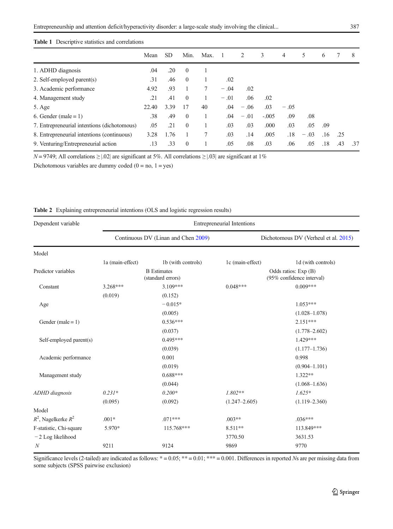# <span id="page-6-0"></span>Table 1 Descriptive statistics and correlations

|                                             | Mean  | SD.  | Min.         | Max. |        | 2      | 3       | 4      | 5      | 6   |     | 8   |
|---------------------------------------------|-------|------|--------------|------|--------|--------|---------|--------|--------|-----|-----|-----|
| 1. ADHD diagnosis                           | .04   | .20  | $\mathbf{0}$ |      |        |        |         |        |        |     |     |     |
| 2. Self-employed parent(s)                  | .31   | .46  | $\mathbf{0}$ |      | .02    |        |         |        |        |     |     |     |
| 3. Academic performance                     | 4.92  | .93  |              |      | $-.04$ | .02    |         |        |        |     |     |     |
| 4. Management study                         | .21   | .41  | $\theta$     |      | $-.01$ | .06    | .02     |        |        |     |     |     |
| 5. Age                                      | 22.40 | 3.39 | 17           | 40   | .04    | $-.06$ | .03     | $-.05$ |        |     |     |     |
| 6. Gender (male = $1$ )                     | .38   | .49  | $\theta$     |      | .04    | $-.01$ | $-.005$ | .09    | .08    |     |     |     |
| 7. Entrepreneurial intentions (dichotomous) | .05   | .21  | $\theta$     |      | .03    | .03    | .000    | .03    | .05    | .09 |     |     |
| 8. Entrepreneurial intentions (continuous)  | 3.28  | 1.76 |              |      | .03    | .14    | .005    | .18    | $-.03$ | .16 | .25 |     |
| 9. Venturing/Entrepreneurial action         | .13   | .33  | $\theta$     |      | .05    | .08    | .03     | .06    | .05    | .18 | .43 | .37 |

 $N = 9749$ ; All correlations  $\geq$  |.02| are significant at 5%. All correlations  $\geq$  |.03| are significant at 1%

Dichotomous variables are dummy coded  $(0 = no, 1 = yes)$ 

| Dependent variable       | <b>Entrepreneurial Intentions</b>       |                                     |                                      |                                                   |  |  |  |
|--------------------------|-----------------------------------------|-------------------------------------|--------------------------------------|---------------------------------------------------|--|--|--|
|                          |                                         | Continuous DV (Linan and Chen 2009) | Dichotomous DV (Verheul et al. 2015) |                                                   |  |  |  |
| Model                    |                                         |                                     |                                      |                                                   |  |  |  |
|                          | 1a (main-effect)                        | 1b (with controls)                  | 1c (main-effect)                     | 1d (with controls)                                |  |  |  |
| Predictor variables      | <b>B</b> Estimates<br>(standard errors) |                                     |                                      | Odds ratios: Exp (B)<br>(95% confidence interval) |  |  |  |
| Constant                 | $3.268***$                              | $3.109***$                          | $0.048***$                           | $0.009***$                                        |  |  |  |
|                          | (0.019)                                 | (0.152)                             |                                      |                                                   |  |  |  |
| Age                      |                                         | $-0.015*$                           |                                      | $1.053***$                                        |  |  |  |
|                          |                                         | (0.005)                             |                                      | $(1.028 - 1.078)$                                 |  |  |  |
| Gender (male = $1$ )     |                                         | $0.536***$                          |                                      | $2.151***$                                        |  |  |  |
|                          |                                         | (0.037)                             |                                      | $(1.778 - 2.602)$                                 |  |  |  |
| Self-employed parent(s)  |                                         | $0.495***$                          |                                      | 1.429***                                          |  |  |  |
|                          |                                         | (0.039)                             |                                      | $(1.177 - 1.736)$                                 |  |  |  |
| Academic performance     |                                         | 0.001                               |                                      | 0.998                                             |  |  |  |
|                          |                                         | (0.019)                             |                                      | $(0.904 - 1.101)$                                 |  |  |  |
| Management study         |                                         | $0.688***$                          |                                      | $1.322**$                                         |  |  |  |
|                          |                                         | (0.044)                             |                                      | $(1.068 - 1.636)$                                 |  |  |  |
| <b>ADHD</b> diagnosis    | $0.231*$                                | $0.200*$                            | $1.802**$                            | $1.625*$                                          |  |  |  |
|                          | (0.095)                                 | (0.092)                             | $(1.247 - 2.605)$                    | $(1.119 - 2.360)$                                 |  |  |  |
| Model                    |                                         |                                     |                                      |                                                   |  |  |  |
| $R^2$ , Nagelkerke $R^2$ | $.001*$                                 | $.071***$                           | $.003**$                             | $.036***$                                         |  |  |  |
| F-statistic, Chi-square  | 5.970*                                  | 115.768***                          | 8.511**                              | 113.849***                                        |  |  |  |
| $-2$ Log likelihood      |                                         |                                     | 3770.50                              | 3631.53                                           |  |  |  |
| $\boldsymbol{N}$         | 9211                                    | 9124                                | 9869                                 | 9770                                              |  |  |  |

## Table 2 Explaining entrepreneurial intentions (OLS and logistic regression results)

Significance levels (2-tailed) are indicated as follows:  $* = 0.05$ ;  $** = 0.01$ ;  $*** = 0.001$ . Differences in reported Ns are per missing data from some subjects (SPSS pairwise exclusion)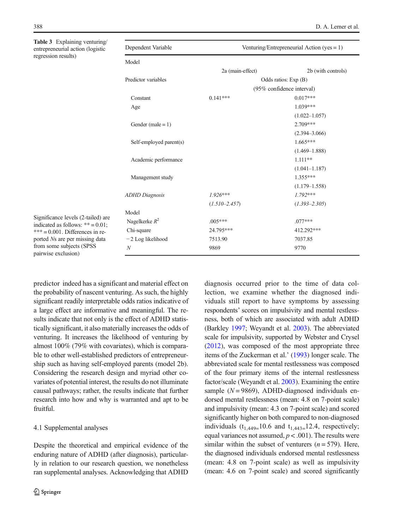<span id="page-7-0"></span>Table 3 Explaining venturing/ entrepreneurial action (logistic regression results)

|  | pendent Variable |  |
|--|------------------|--|
|--|------------------|--|

Model

| Dependent Variable | Venturing/Entrepreneurial Action (yes = $1$ ) |
|--------------------|-----------------------------------------------|
|--------------------|-----------------------------------------------|

| Model                   |                           |                    |  |  |
|-------------------------|---------------------------|--------------------|--|--|
|                         | 2a (main-effect)          | 2b (with controls) |  |  |
| Predictor variables     | Odds ratios: Exp (B)      |                    |  |  |
|                         | (95% confidence interval) |                    |  |  |
| Constant                | $0.141***$                | $0.017***$         |  |  |
| Age                     |                           | $1.039***$         |  |  |
|                         |                           | $(1.022 - 1.057)$  |  |  |
| Gender (male = $1$ )    |                           | $2.709***$         |  |  |
|                         |                           | $(2.394 - 3.066)$  |  |  |
| Self-employed parent(s) |                           | $1.665***$         |  |  |
|                         |                           | $(1.469 - 1.888)$  |  |  |
| Academic performance    |                           | $1.111**$          |  |  |
|                         |                           | $(1.041 - 1.187)$  |  |  |
| Management study        |                           | $1.355***$         |  |  |
|                         |                           | $(1.179 - 1.558)$  |  |  |
| <b>ADHD</b> Diagnosis   | $1.926***$                | $1.792***$         |  |  |
|                         | $(1.510 - 2.457)$         | $(1.393 - 2.305)$  |  |  |
| Model                   |                           |                    |  |  |
| Nagelkerke $R^2$        | $.005***$                 | $.077***$          |  |  |
| Chi-square              | 24.795***                 | 412.292***         |  |  |
| $-2$ Log likelihood     | 7513.90                   | 7037.85            |  |  |
| N                       | 9869                      | 9770               |  |  |
|                         |                           |                    |  |  |

Significance levels (2-tailed) are indicated as follows:  $** = 0.01$ :  $*** = 0.001$ . Differences in reported Ns are per missing data from some subjects (SPSS pairwise exclusion)

predictor indeed has a significant and material effect on the probability of nascent venturing. As such, the highly significant readily interpretable odds ratios indicative of a large effect are informative and meaningful. The results indicate that not only is the effect of ADHD statistically significant, it also materially increases the odds of venturing. It increases the likelihood of venturing by almost 100% (79% with covariates), which is comparable to other well-established predictors of entrepreneurship such as having self-employed parents (model 2b). Considering the research design and myriad other covariates of potential interest, the results do not illuminate causal pathways; rather, the results indicate that further research into how and why is warranted and apt to be fruitful.

## 4.1 Supplemental analyses

Despite the theoretical and empirical evidence of the enduring nature of ADHD (after diagnosis), particularly in relation to our research question, we nonetheless ran supplemental analyses. Acknowledging that ADHD

diagnosis occurred prior to the time of data collection, we examine whether the diagnosed individuals still report to have symptoms by assessing respondents' scores on impulsivity and mental restlessness, both of which are associated with adult ADHD (Barkley [1997;](#page-9-0) Weyandt et al. [2003\)](#page-10-0). The abbreviated scale for impulsivity, supported by Webster and Crysel [\(2012\)](#page-10-0), was composed of the most appropriate three items of the Zuckerman et al.' [\(1993\)](#page-11-0) longer scale. The abbreviated scale for mental restlessness was composed of the four primary items of the internal restlessness factor/scale (Weyandt et al. [2003\)](#page-10-0). Examining the entire sample ( $N = 9869$ ), ADHD-diagnosed individuals endorsed mental restlessness (mean: 4.8 on 7-point scale) and impulsivity (mean: 4.3 on 7-point scale) and scored significantly higher on both compared to non-diagnosed individuals  $(t_{1,449=10.6}$  and  $t_{1,443=12.4}$ , respectively; equal variances not assumed,  $p < .001$ ). The results were similar within the subset of venturers  $(n = 579)$ . Here, the diagnosed individuals endorsed mental restlessness (mean: 4.8 on 7-point scale) as well as impulsivity (mean: 4.6 on 7-point scale) and scored significantly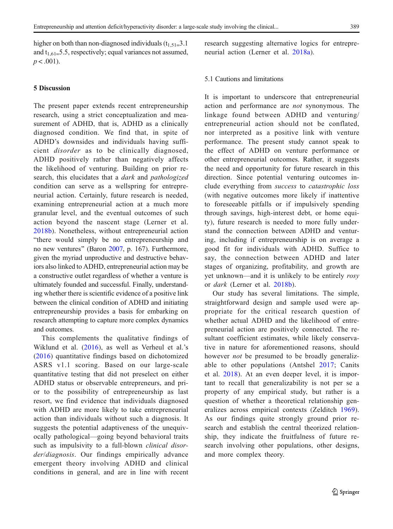higher on both than non-diagnosed individuals  $(t_{1,51}=3.1)$ and  $t_{1,61=}$ 5.5, respectively; equal variances not assumed,  $p < .001$ ).

# 5 Discussion

The present paper extends recent entrepreneurship research, using a strict conceptualization and measurement of ADHD, that is, ADHD as a clinically diagnosed condition. We find that, in spite of ADHD's downsides and individuals having sufficient disorder as to be clinically diagnosed, ADHD positively rather than negatively affects the likelihood of venturing. Building on prior research, this elucidates that a *dark* and *pathologized* condition can serve as a wellspring for entrepreneurial action. Certainly, future research is needed, examining entrepreneurial action at a much more granular level, and the eventual outcomes of such action beyond the nascent stage (Lerner et al. [2018b](#page-10-0)). Nonetheless, without entrepreneurial action "there would simply be no entrepreneurship and no new ventures" (Baron [2007](#page-9-0), p. 167). Furthermore, given the myriad unproductive and destructive behaviors also linked to ADHD, entrepreneurial action may be a constructive outlet regardless of whether a venture is ultimately founded and successful. Finally, understanding whether there is scientific evidence of a positive link between the clinical condition of ADHD and initiating entrepreneurship provides a basis for embarking on research attempting to capture more complex dynamics and outcomes.

This complements the qualitative findings of Wiklund et al. ([2016](#page-10-0)), as well as Verheul et al.'s ([2016](#page-10-0)) quantitative findings based on dichotomized ASRS v1.1 scoring. Based on our large-scale quantitative testing that did not preselect on either ADHD status or observable entrepreneurs, and prior to the possibility of entrepreneurship as last resort, we find evidence that individuals diagnosed with ADHD are more likely to take entrepreneurial action than individuals without such a diagnosis. It suggests the potential adaptiveness of the unequivocally pathological—going beyond behavioral traits such as impulsivity to a full-blown *clinical disor*der/diagnosis. Our findings empirically advance emergent theory involving ADHD and clinical conditions in general, and are in line with recent

research suggesting alternative logics for entrepreneurial action (Lerner et al. [2018a](#page-10-0)).

# 5.1 Cautions and limitations

It is important to underscore that entrepreneurial action and performance are not synonymous. The linkage found between ADHD and venturing/ entrepreneurial action should not be conflated, nor interpreted as a positive link with venture performance. The present study cannot speak to the effect of ADHD on venture performance or other entrepreneurial outcomes. Rather, it suggests the need and opportunity for future research in this direction. Since potential venturing outcomes include everything from success to catastrophic loss (with negative outcomes more likely if inattentive to foreseeable pitfalls or if impulsively spending through savings, high-interest debt, or home equity), future research is needed to more fully understand the connection between ADHD and venturing, including if entrepreneurship is on average a good fit for individuals with ADHD. Suffice to say, the connection between ADHD and later stages of organizing, profitability, and growth are yet unknown—and it is unlikely to be entirely rosy or dark (Lerner et al. [2018b\)](#page-10-0).

Our study has several limitations. The simple, straightforward design and sample used were appropriate for the critical research question of whether actual ADHD and the likelihood of entrepreneurial action are positively connected. The resultant coefficient estimates, while likely conservative in nature for aforementioned reasons, should however *not* be presumed to be broadly generalizable to other populations (Antshel [2017](#page-9-0); Canits et al. [2018](#page-9-0)). At an even deeper level, it is important to recall that generalizability is not per se a property of any empirical study, but rather is a question of whether a theoretical relationship generalizes across empirical contexts (Zelditch [1969](#page-11-0)). As our findings quite strongly ground prior research and establish the central theorized relationship, they indicate the fruitfulness of future research involving other populations, other designs, and more complex theory.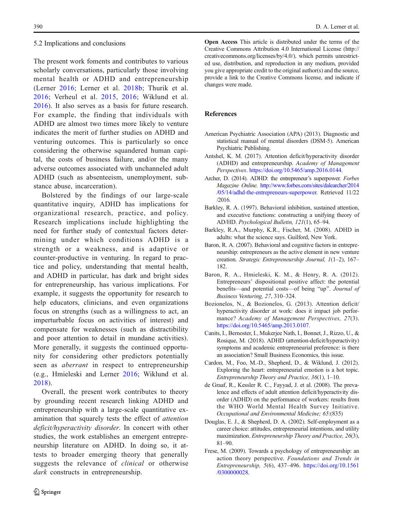#### <span id="page-9-0"></span>5.2 Implications and conclusions

The present work foments and contributes to various scholarly conversations, particularly those involving mental health or ADHD and entrepreneurship (Lerner [2016;](#page-10-0) Lerner et al. [2018b](#page-10-0); Thurik et al. [2016;](#page-10-0) Verheul et al. [2015,](#page-10-0) [2016](#page-10-0); Wiklund et al. [2016](#page-10-0)). It also serves as a basis for future research. For example, the finding that individuals with ADHD are almost two times more likely to venture indicates the merit of further studies on ADHD and venturing outcomes. This is particularly so once considering the otherwise squandered human capital, the costs of business failure, and/or the many adverse outcomes associated with unchanneled adult ADHD (such as absenteeism, unemployment, substance abuse, incarceration).

Bolstered by the findings of our large-scale quantitative inquiry, ADHD has implications for organizational research, practice, and policy. Research implications include highlighting the need for further study of contextual factors determining under which conditions ADHD is a strength or a weakness, and is adaptive or counter-productive in venturing. In regard to practice and policy, understanding that mental health, and ADHD in particular, has dark and bright sides for entrepreneurship, has various implications. For example, it suggests the opportunity for research to help educators, clinicians, and even organizations focus on strengths (such as a willingness to act, an imperturbable focus on activities of interest) and compensate for weaknesses (such as distractibility and poor attention to detail in mundane activities). More generally, it suggests the continued opportunity for considering other predictors potentially seen as aberrant in respect to entrepreneurship (e.g., Hmieleski and Lerner [2016;](#page-10-0) Wiklund et al. [2018](#page-11-0)).

Overall, the present work contributes to theory by grounding recent research linking ADHD and entrepreneurship with a large-scale quantitative examination that squarely tests the effect of *attention* deficit/hyperactivity disorder. In concert with other studies, the work establishes an emergent entrepreneurship literature on ADHD. In doing so, it attests to broader emerging theory that generally suggests the relevance of *clinical* or otherwise dark constructs in entrepreneurship.

Open Access This article is distributed under the terms of the Creative Commons Attribution 4.0 International License (http:// creativecommons.org/licenses/by/4.0/), which permits unrestricted use, distribution, and reproduction in any medium, provided you give appropriate credit to the original author(s) and the source, provide a link to the Creative Commons license, and indicate if changes were made.

## References

- American Psychiatric Association (APA) (2013). Diagnostic and statistical manual of mental disorders (DSM-5). American Psychiatric Publishing.
- Antshel, K. M. (2017). Attention deficit/hyperactivity disorder (ADHD) and entrepreneurship. Academy of Management Perspectives. <https://doi.org/10.5465/amp.2016.0144>.
- Archer, D. (2014). ADHD: the entrepreneur's superpower. Forbes Magazine Online. [http://www.forbes.com/sites/dalearcher/2014](http://www.forbes.com/sites/dalearcher/2014/05/14/adhd-the-entrepreneurs-superpower) [/05/14/adhd-the-entrepreneurs-superpower.](http://www.forbes.com/sites/dalearcher/2014/05/14/adhd-the-entrepreneurs-superpower) Retrieved 11/22 /2016.
- Barkley, R. A. (1997). Behavioral inhibition, sustained attention, and executive functions: constructing a unifying theory of AD/HD. Psychological Bulletin, 121(1), 65–94.
- Barkley, R.A., Murphy, K.R., Fischer, M. (2008). ADHD in adults: what the science says. Guilford, New York.
- Baron, R. A. (2007). Behavioral and cognitive factors in entrepreneurship: entrepreneurs as the active element in new venture creation. Strategic Entrepreneurship Journal, 1(1–2), 167– 182.
- Baron, R. A., Hmieleski, K. M., & Henry, R. A. (2012). Entrepreneurs' dispositional positive affect: the potential benefits—and potential costs—of being "up". Journal of Business Venturing, 27, 310–324.
- Bozionelos, N., & Bozionelos, G. (2013). Attention deficit/ hyperactivity disorder at work: does it impact job performance? Academy of Management Perspectives, 27(3). <https://doi.org/10.5465/amp.2013.0107>.
- Canits, I., Bernoster, I., Mukerjee Nath, I., Bonnet, J., Rizzo, U., & Rosique, M. (2018). ADHD (attention-deficit/hyperactivity) symptoms and academic entrepreneurial preference: is there an association? Small Business Economics, this issue.
- Cardon, M., Foo, M.-D., Shepherd, D., & Wiklund, J. (2012). Exploring the heart: entrepreneurial emotion is a hot topic. Entrepreneurship Theory and Practice, 36(1), 1–10.
- de Graaf, R., Kessler R. C., Fayyad, J. et al. (2008). The prevalence and effects of adult attention deficit/hyperactivity disorder (ADHD) on the performance of workers: results from the WHO World Mental Health Survey Initiative. Occupational and Environmental Medicine; 65:(835)
- Douglas, E. J., & Shepherd, D. A. (2002). Self-employment as a career choice: attitudes, entrepreneurial intentions, and utility maximization. Entrepreneurship Theory and Practice, 26(3), 81–90.
- Frese, M. (2009). Towards a psychology of entrepreneurship: an action theory perspective. Foundations and Trends in Entrepreneurship, 5(6), 437–496. [https://doi.org/10.1561](https://doi.org/10.1561/0300000028) [/0300000028](https://doi.org/10.1561/0300000028).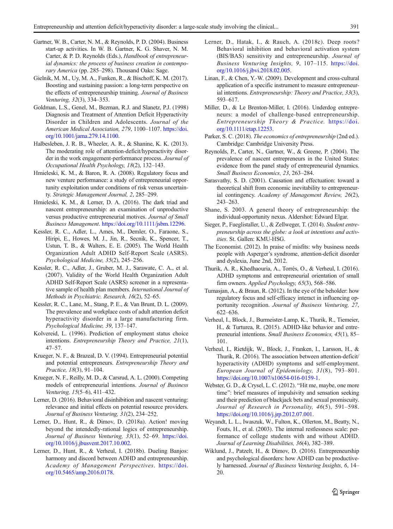- <span id="page-10-0"></span>Gartner, W. B., Carter, N. M., & Reynolds, P. D. (2004). Business start-up activities. In W. B. Gartner, K. G. Shaver, N. M. Carter, & P. D. Reynolds (Eds.), Handbook of entrepreneurial dynamics: the process of business creation in contemporary America (pp. 285–298). Thousand Oaks: Sage.
- Gielnik, M. M., Uy, M. A., Funken, R., & Bischoff, K. M. (2017). Boosting and sustaining passion: a long-term perspective on the effects of entrepreneurship training. Journal of Business Venturing, 32(3), 334–353.
- Goldman, L.S., Genel, M., Bezman, R.J. and Slanetz, P.J. (1998) Diagnosis and Treatment of Attention Deficit Hyperactivity Disorder in Children and Adolescents. Journal of the American Medical Association, 279, 1100–1107. [https://doi.](https://doi.org/10.1001/jama.279.14.1100) [org/10.1001/jama.279.14.1100.](https://doi.org/10.1001/jama.279.14.1100)
- Halbesleben, J. R. B., Wheeler, A. R., & Shanine, K. K. (2013). The moderating role of attention-deficit/hyperactivity disorder in the work engagement-performance process. Journal of Occupational Health Psychology, 18(2), 132–143.
- Hmieleski, K. M., & Baron, R. A. (2008). Regulatory focus and new venture performance: a study of entrepreneurial opportunity exploitation under conditions of risk versus uncertainty. Strategic Management Journal, 2, 285–299.
- Hmieleski, K. M., & Lerner, D. A. (2016). The dark triad and nascent entrepreneurship: an examination of unproductive versus productive entrepreneurial motives. Journal of Small Business Management. [https://doi.org/10.1111/jsbm.12296.](https://doi.org/10.1111/jsbm.12296)
- Kessler, R. C., Adler, L., Ames, M., Demler, O., Faraone, S., Hiripi, E., Howes, M. J., Jin, R., Secnik, K., Spencer, T., Ustun, T. B., & Walters, E. E. (2005). The World Health Organization Adult ADHD Self-Report Scale (ASRS). Psychological Medicine, 35(2), 245–256.
- Kessler, R. C., Adler, J., Gruber, M. J., Sarawate, C. A., et al. (2007). Validity of the World Health Organization Adult ADHD Self-Report Scale (ASRS) screener in a representative sample of health plan members. International Journal of Methods in Psychiatric. Research, 16(2), 52–65.
- Kessler, R. C., Lane, M., Stang, P. E., & Van Brunt, D. L. (2009). The prevalence and workplace costs of adult attention deficit hyperactivity disorder in a large manufacturing firm. Psychological Medicine, 39, 137–147.
- Kolvereid, L. (1996). Prediction of employment status choice intentions. Entrepreneurship Theory and Practice, 21(1), 47–57.
- Krueger, N. F., & Brazeal, D. V. (1994). Entrepreneurial potential and potential entrepreneurs. Entrepreneurship Theory and Practice, 18(3), 91–104.
- Krueger, N. F., Reilly, M. D., & Carsrud, A. L. (2000). Competing models of entrepreneurial intentions. Journal of Business Venturing, 15(5–6), 411–432.
- Lerner, D. (2016). Behavioral disinhibition and nascent venturing: relevance and initial effects on potential resource providers. Journal of Business Venturing, 31(2), 234–252.
- Lerner, D., Hunt, R., & Dimov, D. (2018a). Action! moving beyond the intendedly-rational logics of entrepreneurship. Journal of Business Venturing, 33(1), 52–69. [https://doi.](https://doi.org/10.1016/j.jbusvent.2017.10.002) [org/10.1016/j.jbusvent.2017.10.002.](https://doi.org/10.1016/j.jbusvent.2017.10.002)
- Lerner, D., Hunt, R., & Verheul, I. (2018b). Dueling Banjos: harmony and discord between ADHD and entrepreneurship. Academy of Management Perspectives. [https://doi.](https://doi.org/10.5465/amp.2016.0178) [org/10.5465/amp.2016.0178](https://doi.org/10.5465/amp.2016.0178).
- Lerner, D., Hatak, I., & Rauch, A. (2018c). Deep roots? Behavioral inhibition and behavioral activation system (BIS/BAS) sensitivity and entrepreneurship. Journal of Business Venturing Insights, 9, 107–115. [https://doi.](https://doi.org/10.1016/j.jbvi.2018.02.005) [org/10.1016/j.jbvi.2018.02.005.](https://doi.org/10.1016/j.jbvi.2018.02.005)
- Linan, F., & Chen, Y.-W. (2009). Development and cross-cultural application of a specific instrument to measure entrepreneurial intentions. Entrepreneurship: Theory and Practice, 33(3), 593–617.
- Miller, D., & Le Brenton-Miller, I. (2016). Underdog entrepreneurs: a model of challenge-based entrepreneurship. Entrepreneurship Theory & Practice. [https://doi.](https://doi.org/10.1111/etap.12253) [org/10.1111/etap.12253](https://doi.org/10.1111/etap.12253).
- Parker, S. C. (2018). The economics of entrepreneurship (2nd ed.). Cambridge: Cambridge University Press.
- Reynolds, P., Carter, N., Gartner, W., & Greene, P. (2004). The prevalence of nascent entrepreneurs in the United States: evidence from the panel study of entrepreneurial dynamics. Small Business Economics, 23, 263–284.
- Sarasvathy, S. D. (2001). Causation and effectuation: toward a theoretical shift from economic inevitability to entrepreneurial contingency. Academy of Management Review, 26(2), 243–263.
- Shane, S. 2003. A general theory of entrepreneurship: the individual-opportunity nexus. Aldershot: Edward Elgar.
- Sieger, P., Fueglistaller, U., & Zellweger, T. (2014). Student entrepreneurship across the globe: a look at intentions and activities. St. Gallen: KMU-HSG.
- The Economist. (2012). In praise of misfits: why business needs people with Asperger's syndrome, attention-deficit disorder and dyslexia, June 2nd, 2012.
- Thurik, A. R., Khedhaouria, A., Torrès, O., & Verheul, I. (2016). ADHD symptoms and entrepreneurial orientation of small firm owners. Applied Psychology, 65(3), 568–586.
- Tumasjan, A., & Braun, R. (2012). In the eye of the beholder: how regulatory focus and self-efficacy interact in influencing opportunity recognition. Journal of Business Venturing, 27, 622–636.
- Verheul, I., Block, J., Burmeister-Lamp, K., Thurik, R., Tiemeier, H., & Turturea, R. (2015). ADHD-like behavior and entrepreneurial intentions. Small Business Economics, 45(1), 85– 101.
- Verheul, I., Rietdijk, W., Block, J., Franken, I., Larsson, H., & Thurik, R. (2016). The association between attention-deficit/ hyperactivity (ADHD) symptoms and self-employment. European Journal of Epidemiology, 31(8), 793–801. [https://doi.org/10.1007/s10654-016-0159-1.](https://doi.org/10.1001/jama.279.14.1100)
- Webster, G. D., & Crysel, L. C. (2012). "Hit me, maybe, one more time": brief measures of impulsivity and sensation seeking and their prediction of blackjack bets and sexual promiscuity. Journal of Research in Personality, 46(5), 591–598. <https://doi.org/10.1016/j.jrp.2012.07.001>.
- Weyandt, L. L., Iwaszuk, W., Fulton, K., Ollerton, M., Beatty, N., Fouts, H., et al. (2003). The internal restlessness scale: performance of college students with and without ADHD. Journal of Learning Disabilities, 36(4), 382–389.
- Wiklund, J., Patzelt, H., & Dimov, D. (2016). Entrepreneurship and psychological disorders: how ADHD can be productively harnessed. Journal of Business Venturing Insights, 6, 14– 20.